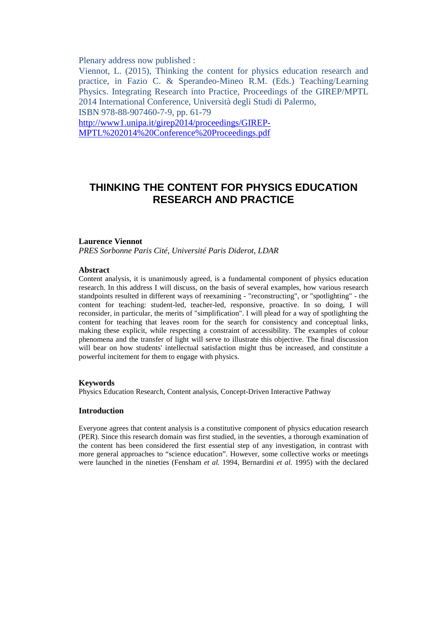Plenary address now published :

Viennot, L. (2015), Thinking the content for physics education research and practice, in Fazio C. & Sperandeo-Mineo R.M. (Eds.) Teaching/Learning Physics. Integrating Research into Practice, Proceedings of the GIREP/MPTL 2014 International Conference, Università degli Studi di Palermo, ISBN 978-88-907460-7-9, pp. 61-79 http://www1.unipa.it/girep2014/proceedings/GIREP-MPTL%202014%20Conference%20Proceedings.pdf

# **THINKING THE CONTENT FOR PHYSICS EDUCATION RESEARCH AND PRACTICE**

# **Laurence Viennot**

*PRES Sorbonne Paris Cité, Université Paris Diderot, LDAR*

#### **Abstract**

Content analysis, it is unanimously agreed, is a fundamental component of physics education research. In this address I will discuss, on the basis of several examples, how various research standpoints resulted in different ways of reexamining - "reconstructing", or "spotlighting" - the content for teaching: student-led, teacher-led, responsive, proactive. In so doing, I will reconsider, in particular, the merits of "simplification". I will plead for a way of spotlighting the content for teaching that leaves room for the search for consistency and conceptual links, making these explicit, while respecting a constraint of accessibility. The examples of colour phenomena and the transfer of light will serve to illustrate this objective. The final discussion will bear on how students' intellectual satisfaction might thus be increased, and constitute a powerful incitement for them to engage with physics.

### **Keywords**

Physics Education Research, Content analysis, Concept-Driven Interactive Pathway

# **Introduction**

Everyone agrees that content analysis is a constitutive component of physics education research (PER). Since this research domain was first studied, in the seventies, a thorough examination of the content has been considered the first essential step of any investigation, in contrast with more general approaches to "science education". However, some collective works or meetings were launched in the nineties (Fensham *et al.* 1994, Bernardini *et al.* 1995) with the declared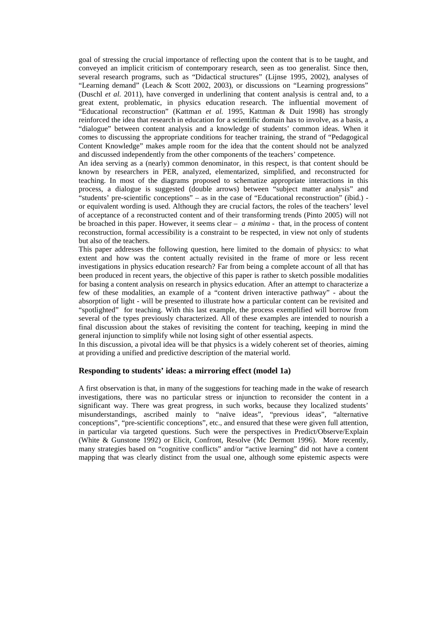goal of stressing the crucial importance of reflecting upon the content that is to be taught, and conveyed an implicit criticism of contemporary research, seen as too generalist. Since then, several research programs, such as "Didactical structures" (Lijnse 1995, 2002), analyses of "Learning demand" (Leach & Scott 2002, 2003), or discussions on "Learning progressions" (Duschl *et al.* 2011), have converged in underlining that content analysis is central and, to a great extent, problematic, in physics education research. The influential movement of "Educational reconstruction" (Kattman *et al.* 1995, Kattman & Duit 1998) has strongly reinforced the idea that research in education for a scientific domain has to involve, as a basis, a "dialogue" between content analysis and a knowledge of students' common ideas. When it comes to discussing the appropriate conditions for teacher training, the strand of "Pedagogical Content Knowledge" makes ample room for the idea that the content should not be analyzed and discussed independently from the other components of the teachers' competence.

An idea serving as a (nearly) common denominator, in this respect, is that content should be known by researchers in PER, analyzed, elementarized, simplified, and reconstructed for teaching. In most of the diagrams proposed to schematize appropriate interactions in this process, a dialogue is suggested (double arrows) between "subject matter analysis" and "students' pre-scientific conceptions" – as in the case of "Educational reconstruction" (ibid.) or equivalent wording is used. Although they are crucial factors, the roles of the teachers' level of acceptance of a reconstructed content and of their transforming trends (Pinto 2005) will not be broached in this paper. However, it seems clear – *a minima* - that, in the process of content reconstruction, formal accessibility is a constraint to be respected, in view not only of students but also of the teachers.

This paper addresses the following question, here limited to the domain of physics: to what extent and how was the content actually revisited in the frame of more or less recent investigations in physics education research? Far from being a complete account of all that has been produced in recent years, the objective of this paper is rather to sketch possible modalities for basing a content analysis on research in physics education. After an attempt to characterize a few of these modalities, an example of a "content driven interactive pathway" - about the absorption of light - will be presented to illustrate how a particular content can be revisited and "spotlighted" for teaching. With this last example, the process exemplified will borrow from several of the types previously characterized. All of these examples are intended to nourish a final discussion about the stakes of revisiting the content for teaching, keeping in mind the general injunction to simplify while not losing sight of other essential aspects.

In this discussion, a pivotal idea will be that physics is a widely coherent set of theories, aiming at providing a unified and predictive description of the material world.

### **Responding to students' ideas: a mirroring effect (model 1a)**

A first observation is that, in many of the suggestions for teaching made in the wake of research investigations, there was no particular stress or injunction to reconsider the content in a significant way. There was great progress, in such works, because they localized students' misunderstandings, ascribed mainly to "naïve ideas", "previous ideas", "alternative conceptions", "pre-scientific conceptions", etc., and ensured that these were given full attention, in particular via targeted questions. Such were the perspectives in Predict/Observe/Explain (White & Gunstone 1992) or Elicit, Confront, Resolve (Mc Dermott 1996). More recently, many strategies based on "cognitive conflicts" and/or "active learning" did not have a content mapping that was clearly distinct from the usual one, although some epistemic aspects were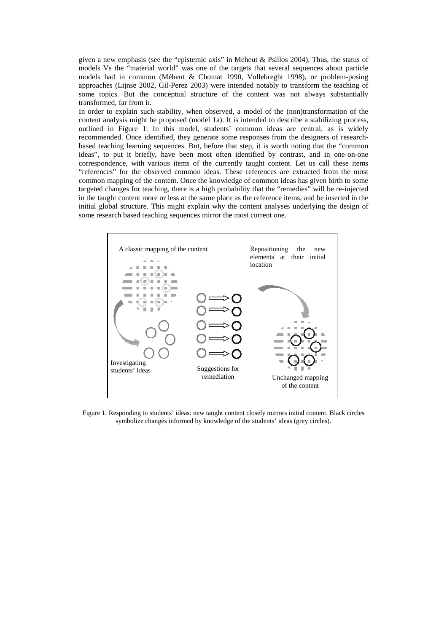given a new emphasis (see the "epistemic axis" in Meheut & Psillos 2004). Thus, the status of models Vs the "material world" was one of the targets that several sequences about particle models had in common (Méheut & Chomat 1990, Vollebreght 1998), or problem-posing approaches (Lijnse 2002, Gil-Perez 2003) were intended notably to transform the teaching of some topics. But the conceptual structure of the content was not always substantially transformed, far from it.

In order to explain such stability, when observed, a model of the (non)transformation of the content analysis might be proposed (model 1a). It is intended to describe a stabilizing process, outlined in Figure 1. In this model, students' common ideas are central, as is widely recommended. Once identified, they generate some responses from the designers of researchbased teaching learning sequences. But, before that step, it is worth noting that the "common ideas", to put it briefly, have been most often identified by contrast, and in one-on-one correspondence, with various items of the currently taught content. Let us call these items "references" for the observed common ideas. These references are extracted from the most common mapping of the content. Once the knowledge of common ideas has given birth to some targeted changes for teaching, there is a high probability that the "remedies" will be re-injected in the taught content more or less at the same place as the reference items, and be inserted in the initial global structure. This might explain why the content analyses underlying the design of some research based teaching sequences mirror the most current one.



Figure 1. Responding to students' ideas: new taught content closely mirrors initial content. Black circles symbolize changes informed by knowledge of the students' ideas (grey circles).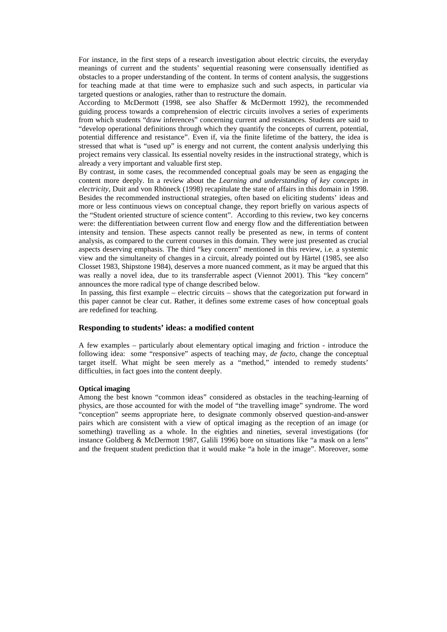For instance, in the first steps of a research investigation about electric circuits, the everyday meanings of current and the students' sequential reasoning were consensually identified as obstacles to a proper understanding of the content. In terms of content analysis, the suggestions for teaching made at that time were to emphasize such and such aspects, in particular via targeted questions or analogies, rather than to restructure the domain.

According to McDermott (1998, see also Shaffer & McDermott 1992), the recommended guiding process towards a comprehension of electric circuits involves a series of experiments from which students "draw inferences" concerning current and resistances. Students are said to "develop operational definitions through which they quantify the concepts of current, potential, potential difference and resistance". Even if, via the finite lifetime of the battery, the idea is stressed that what is "used up" is energy and not current, the content analysis underlying this project remains very classical. Its essential novelty resides in the instructional strategy, which is already a very important and valuable first step.

By contrast, in some cases, the recommended conceptual goals may be seen as engaging the content more deeply. In a review about the *Learning and understanding of key concepts in electricity*, Duit and von Rhöneck (1998) recapitulate the state of affairs in this domain in 1998. Besides the recommended instructional strategies, often based on eliciting students' ideas and more or less continuous views on conceptual change, they report briefly on various aspects of the "Student oriented structure of science content". According to this review, two key concerns were: the differentiation between current flow and energy flow and the differentiation between intensity and tension. These aspects cannot really be presented as new, in terms of content analysis, as compared to the current courses in this domain. They were just presented as crucial aspects deserving emphasis. The third "key concern" mentioned in this review, i.e. a systemic view and the simultaneity of changes in a circuit, already pointed out by Härtel (1985, see also Closset 1983, Shipstone 1984), deserves a more nuanced comment, as it may be argued that this was really a novel idea, due to its transferrable aspect (Viennot 2001). This "key concern" announces the more radical type of change described below.

 In passing, this first example – electric circuits – shows that the categorization put forward in this paper cannot be clear cut. Rather, it defines some extreme cases of how conceptual goals are redefined for teaching.

### **Responding to students' ideas: a modified content**

A few examples – particularly about elementary optical imaging and friction - introduce the following idea: some "responsive" aspects of teaching may, *de facto*, change the conceptual target itself. What might be seen merely as a "method," intended to remedy students' difficulties, in fact goes into the content deeply.

#### **Optical imaging**

Among the best known "common ideas" considered as obstacles in the teaching-learning of physics, are those accounted for with the model of "the travelling image" syndrome. The word "conception" seems appropriate here, to designate commonly observed question-and-answer pairs which are consistent with a view of optical imaging as the reception of an image (or something) travelling as a whole. In the eighties and nineties, several investigations (for instance Goldberg & McDermott 1987, Galili 1996) bore on situations like "a mask on a lens" and the frequent student prediction that it would make "a hole in the image". Moreover, some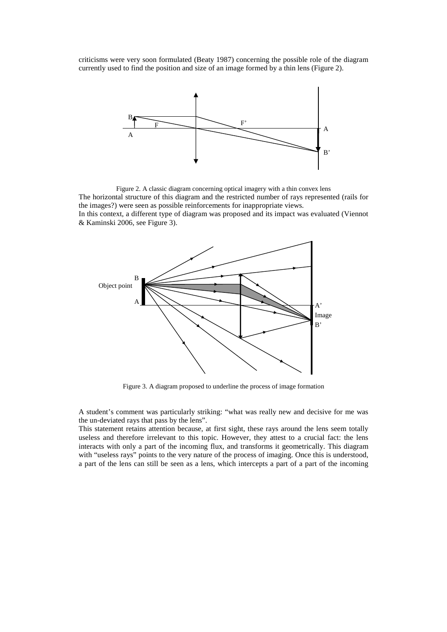criticisms were very soon formulated (Beaty 1987) concerning the possible role of the diagram currently used to find the position and size of an image formed by a thin lens (Figure 2).



Figure 2. A classic diagram concerning optical imagery with a thin convex lens The horizontal structure of this diagram and the restricted number of rays represented (rails for the images?) were seen as possible reinforcements for inappropriate views. In this context, a different type of diagram was proposed and its impact was evaluated (Viennot & Kaminski 2006, see Figure 3).



Figure 3. A diagram proposed to underline the process of image formation

A student's comment was particularly striking: "what was really new and decisive for me was the un-deviated rays that pass by the lens".

This statement retains attention because, at first sight, these rays around the lens seem totally useless and therefore irrelevant to this topic. However, they attest to a crucial fact: the lens interacts with only a part of the incoming flux, and transforms it geometrically. This diagram with "useless rays" points to the very nature of the process of imaging. Once this is understood, a part of the lens can still be seen as a lens, which intercepts a part of a part of the incoming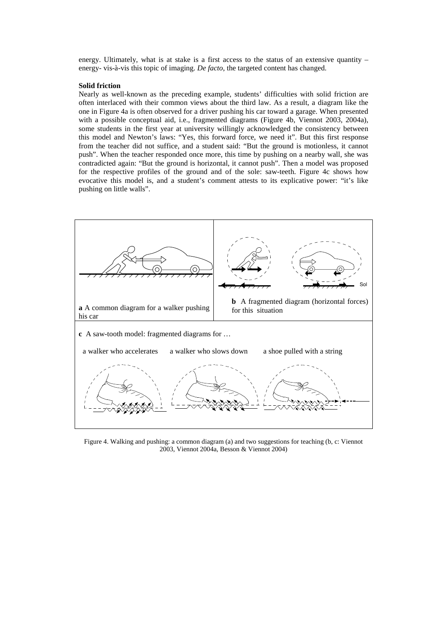energy. Ultimately, what is at stake is a first access to the status of an extensive quantity  $$ energy- vis-à-vis this topic of imaging. *De facto*, the targeted content has changed.

#### **Solid friction**

Nearly as well-known as the preceding example, students' difficulties with solid friction are often interlaced with their common views about the third law. As a result, a diagram like the one in Figure 4a is often observed for a driver pushing his car toward a garage. When presented with a possible conceptual aid, i.e., fragmented diagrams (Figure 4b, Viennot 2003, 2004a), some students in the first year at university willingly acknowledged the consistency between this model and Newton's laws: "Yes, this forward force, we need it". But this first response from the teacher did not suffice, and a student said: "But the ground is motionless, it cannot push". When the teacher responded once more, this time by pushing on a nearby wall, she was contradicted again: "But the ground is horizontal, it cannot push". Then a model was proposed for the respective profiles of the ground and of the sole: saw-teeth. Figure 4c shows how evocative this model is, and a student's comment attests to its explicative power: "it's like pushing on little walls".



Figure 4. Walking and pushing: a common diagram (a) and two suggestions for teaching (b, c: Viennot 2003, Viennot 2004a, Besson & Viennot 2004)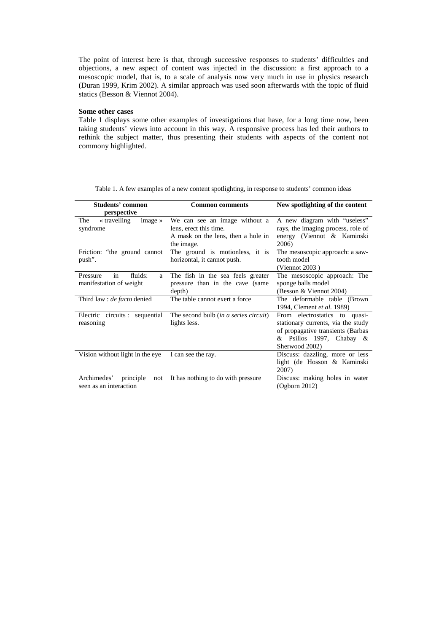The point of interest here is that, through successive responses to students' difficulties and objections, a new aspect of content was injected in the discussion: a first approach to a mesoscopic model, that is, to a scale of analysis now very much in use in physics research (Duran 1999, Krim 2002). A similar approach was used soon afterwards with the topic of fluid statics (Besson & Viennot 2004).

# **Some other cases**

Table 1 displays some other examples of investigations that have, for a long time now, been taking students' views into account in this way. A responsive process has led their authors to rethink the subject matter, thus presenting their students with aspects of the content not commony highlighted.

| Students' common                    | <b>Common comments</b>                | New spotlighting of the content    |  |  |
|-------------------------------------|---------------------------------------|------------------------------------|--|--|
| perspective                         |                                       |                                    |  |  |
| « travelling<br>The<br>image $\ast$ | We can see an image without a         | A new diagram with "useless"       |  |  |
| syndrome                            | lens, erect this time.                | rays, the imaging process, role of |  |  |
|                                     | A mask on the lens, then a hole in    | energy (Viennot & Kaminski         |  |  |
|                                     | the image.                            | 2006)                              |  |  |
| Friction: "the ground cannot"       | The ground is motionless, it is       | The mesoscopic approach: a saw-    |  |  |
| push".                              | horizontal, it cannot push.           | tooth model                        |  |  |
|                                     |                                       | (Viennot $2003$ )                  |  |  |
| in<br>fluids:<br>Pressure<br>a      | The fish in the sea feels greater     | The mesoscopic approach: The       |  |  |
| manifestation of weight             | pressure than in the cave (same       | sponge balls model                 |  |  |
|                                     | depth)                                | (Besson & Viennot 2004)            |  |  |
| Third law : <i>de facto</i> denied  | The table cannot exert a force.       | The deformable table (Brown)       |  |  |
|                                     |                                       | 1994, Clement et al. 1989)         |  |  |
| Electric circuits: sequential       | The second bulb (in a series circuit) | From electrostatics to quasi-      |  |  |
| reasoning                           | lights less.                          | stationary currents, via the study |  |  |
|                                     |                                       | of propagative transients (Barbas  |  |  |
|                                     |                                       | $&$ Psillos 1997, Chabay $&$       |  |  |
|                                     |                                       | Sherwood 2002)                     |  |  |
| Vision without light in the eye     | I can see the ray.                    | Discuss: dazzling, more or less    |  |  |
|                                     |                                       | light (de Hosson & Kaminski        |  |  |
|                                     |                                       | 2007)                              |  |  |
| Archimedes'<br>principle<br>not     | It has nothing to do with pressure    | Discuss: making holes in water     |  |  |
| seen as an interaction              |                                       | (Ogborn 2012)                      |  |  |

Table 1. A few examples of a new content spotlighting, in response to students' common ideas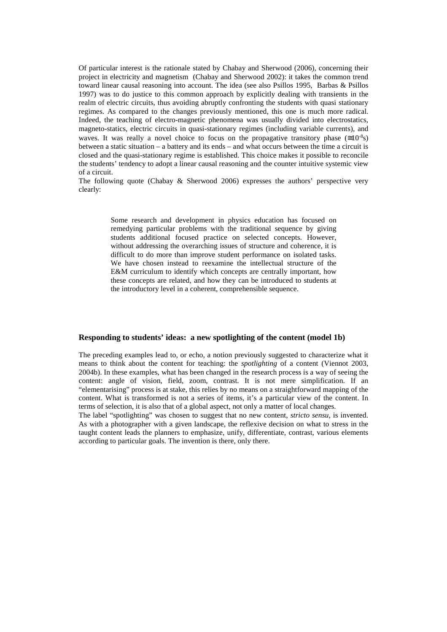Of particular interest is the rationale stated by Chabay and Sherwood (2006), concerning their project in electricity and magnetism (Chabay and Sherwood 2002): it takes the common trend toward linear causal reasoning into account. The idea (see also Psillos 1995, Barbas & Psillos 1997) was to do justice to this common approach by explicitly dealing with transients in the realm of electric circuits, thus avoiding abruptly confronting the students with quasi stationary regimes. As compared to the changes previously mentioned, this one is much more radical. Indeed, the teaching of electro-magnetic phenomena was usually divided into electrostatics, magneto-statics, electric circuits in quasi-stationary regimes (including variable currents), and waves. It was really a novel choice to focus on the propagative transitory phase ( $\leq 10^{-8}$ s) between a static situation – a battery and its ends – and what occurs between the time a circuit is closed and the quasi-stationary regime is established. This choice makes it possible to reconcile the students' tendency to adopt a linear causal reasoning and the counter intuitive systemic view of a circuit.

The following quote (Chabay & Sherwood 2006) expresses the authors' perspective very clearly:

> Some research and development in physics education has focused on remedying particular problems with the traditional sequence by giving students additional focused practice on selected concepts. However, without addressing the overarching issues of structure and coherence, it is difficult to do more than improve student performance on isolated tasks. We have chosen instead to reexamine the intellectual structure of the E&M curriculum to identify which concepts are centrally important, how these concepts are related, and how they can be introduced to students at the introductory level in a coherent, comprehensible sequence.

### **Responding to students' ideas: a new spotlighting of the content (model 1b)**

The preceding examples lead to, or echo, a notion previously suggested to characterize what it means to think about the content for teaching: the *spotlighting* of a content (Viennot 2003, 2004b). In these examples, what has been changed in the research process is a way of seeing the content: angle of vision, field, zoom, contrast. It is not mere simplification. If an "elementarising" process is at stake, this relies by no means on a straightforward mapping of the content. What is transformed is not a series of items, it's a particular view of the content. In terms of selection, it is also that of a global aspect, not only a matter of local changes.

The label "spotlighting" was chosen to suggest that no new content, *stricto sensu*, is invented. As with a photographer with a given landscape, the reflexive decision on what to stress in the taught content leads the planners to emphasize, unify, differentiate, contrast, various elements according to particular goals. The invention is there, only there.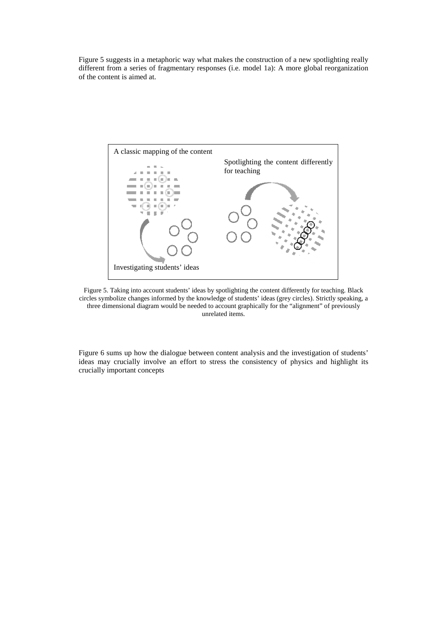Figure 5 suggests in a metaphoric way what makes the construction of a new spotlighting really different from a series of fragmentary responses (i.e. model 1a): A more global reorganization of the content is aimed at.



Figure 5. Taking into account students' ideas by spotlighting the content differently for teaching. Black circles symbolize changes informed by the knowledge of students' ideas (grey circles). Strictly speaking, a three dimensional diagram would be needed to account graphically for the "alignment" of previously unrelated items.

Figure 6 sums up how the dialogue between content analysis and the investigation of students' ideas may crucially involve an effort to stress the consistency of physics and highlight its crucially important concepts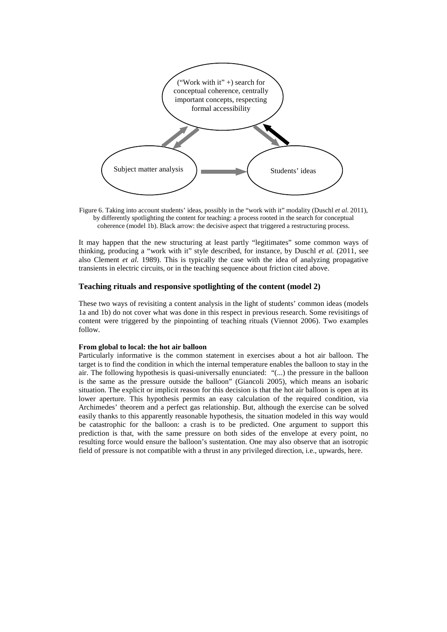

Figure 6. Taking into account students' ideas, possibly in the "work with it" modality (Duschl *et al.* 2011), by differently spotlighting the content for teaching: a process rooted in the search for conceptual coherence (model 1b). Black arrow: the decisive aspect that triggered a restructuring process.

It may happen that the new structuring at least partly "legitimates" some common ways of thinking, producing a "work with it" style described, for instance, by Duschl *et al.* (2011, see also Clement *et al.* 1989). This is typically the case with the idea of analyzing propagative transients in electric circuits, or in the teaching sequence about friction cited above.

# **Teaching rituals and responsive spotlighting of the content (model 2)**

These two ways of revisiting a content analysis in the light of students' common ideas (models 1a and 1b) do not cover what was done in this respect in previous research. Some revisitings of content were triggered by the pinpointing of teaching rituals (Viennot 2006). Two examples follow.

#### **From global to local: the hot air balloon**

Particularly informative is the common statement in exercises about a hot air balloon. The target is to find the condition in which the internal temperature enables the balloon to stay in the air. The following hypothesis is quasi-universally enunciated: "(...) the pressure in the balloon is the same as the pressure outside the balloon" (Giancoli 2005), which means an isobaric situation. The explicit or implicit reason for this decision is that the hot air balloon is open at its lower aperture. This hypothesis permits an easy calculation of the required condition, via Archimedes' theorem and a perfect gas relationship. But, although the exercise can be solved easily thanks to this apparently reasonable hypothesis, the situation modeled in this way would be catastrophic for the balloon: a crash is to be predicted. One argument to support this prediction is that, with the same pressure on both sides of the envelope at every point, no resulting force would ensure the balloon's sustentation. One may also observe that an isotropic field of pressure is not compatible with a thrust in any privileged direction, i.e., upwards, here.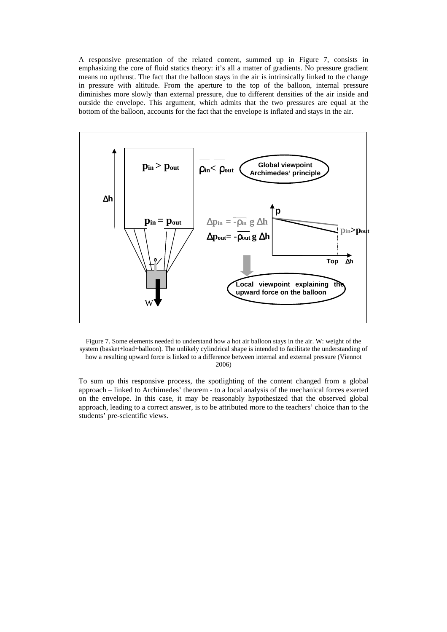A responsive presentation of the related content, summed up in Figure 7, consists in emphasizing the core of fluid statics theory: it's all a matter of gradients. No pressure gradient means no upthrust. The fact that the balloon stays in the air is intrinsically linked to the change in pressure with altitude. From the aperture to the top of the balloon, internal pressure diminishes more slowly than external pressure, due to different densities of the air inside and outside the envelope. This argument, which admits that the two pressures are equal at the bottom of the balloon, accounts for the fact that the envelope is inflated and stays in the air.





To sum up this responsive process, the spotlighting of the content changed from a global approach – linked to Archimedes' theorem - to a local analysis of the mechanical forces exerted on the envelope. In this case, it may be reasonably hypothesized that the observed global approach, leading to a correct answer, is to be attributed more to the teachers' choice than to the students' pre-scientific views.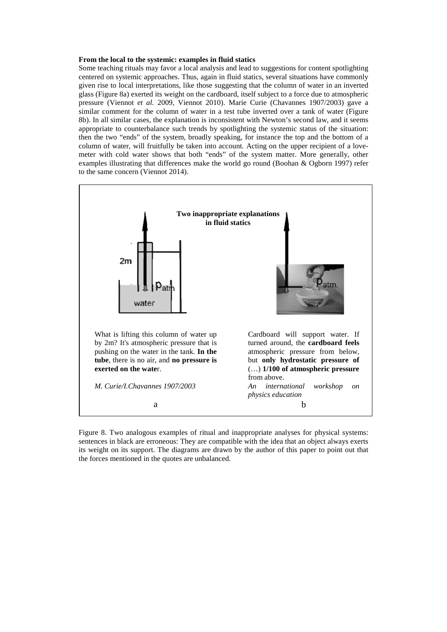#### **From the local to the systemic: examples in fluid statics**

Some teaching rituals may favor a local analysis and lead to suggestions for content spotlighting centered on systemic approaches. Thus, again in fluid statics, several situations have commonly given rise to local interpretations, like those suggesting that the column of water in an inverted glass (Figure 8a) exerted its weight on the cardboard, itself subject to a force due to atmospheric pressure (Viennot *et al.* 2009, Viennot 2010). Marie Curie (Chavannes 1907/2003) gave a similar comment for the column of water in a test tube inverted over a tank of water (Figure 8b). In all similar cases, the explanation is inconsistent with Newton's second law, and it seems appropriate to counterbalance such trends by spotlighting the systemic status of the situation: then the two "ends" of the system, broadly speaking, for instance the top and the bottom of a column of water, will fruitfully be taken into account. Acting on the upper recipient of a lovemeter with cold water shows that both "ends" of the system matter. More generally, other examples illustrating that differences make the world go round (Boohan & Ogborn 1997) refer to the same concern (Viennot 2014).



Figure 8. Two analogous examples of ritual and inappropriate analyses for physical systems: sentences in black are erroneous: They are compatible with the idea that an object always exerts its weight on its support. The diagrams are drawn by the author of this paper to point out that the forces mentioned in the quotes are unbalanced.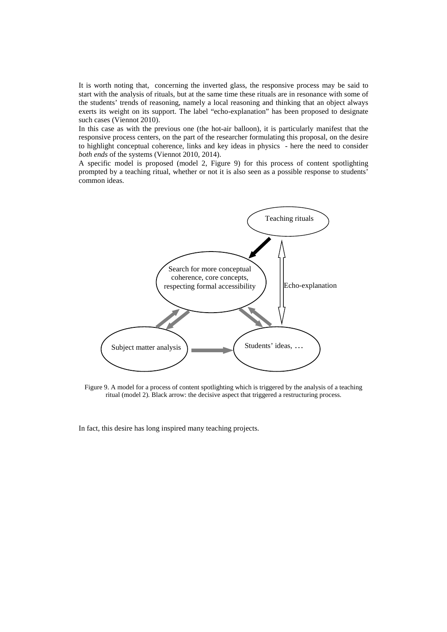It is worth noting that, concerning the inverted glass, the responsive process may be said to start with the analysis of rituals, but at the same time these rituals are in resonance with some of the students' trends of reasoning, namely a local reasoning and thinking that an object always exerts its weight on its support. The label "echo-explanation" has been proposed to designate such cases (Viennot 2010).

In this case as with the previous one (the hot-air balloon), it is particularly manifest that the responsive process centers, on the part of the researcher formulating this proposal, on the desire to highlight conceptual coherence, links and key ideas in physics - here the need to consider *both ends* of the systems (Viennot 2010, 2014).

A specific model is proposed (model 2, Figure 9) for this process of content spotlighting prompted by a teaching ritual, whether or not it is also seen as a possible response to students' common ideas.



Figure 9. A model for a process of content spotlighting which is triggered by the analysis of a teaching ritual (model 2). Black arrow: the decisive aspect that triggered a restructuring process.

In fact, this desire has long inspired many teaching projects.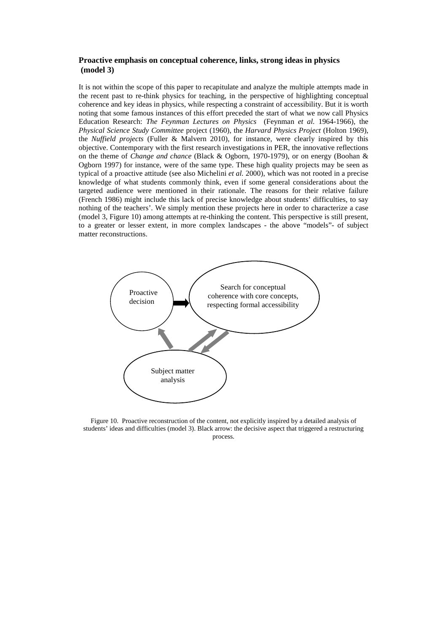# **Proactive emphasis on conceptual coherence, links, strong ideas in physics (model 3)**

It is not within the scope of this paper to recapitulate and analyze the multiple attempts made in the recent past to re-think physics for teaching, in the perspective of highlighting conceptual coherence and key ideas in physics, while respecting a constraint of accessibility. But it is worth noting that some famous instances of this effort preceded the start of what we now call Physics Education Research: *The Feynman Lectures on Physics* (Feynman *et al.* 1964-1966), the *Physical Science Study Committee* project (1960), the *Harvard Physics Project* (Holton 1969), the *Nuffield projects* (Fuller & Malvern 2010), for instance, were clearly inspired by this objective. Contemporary with the first research investigations in PER, the innovative reflections on the theme of *Change and chance* (Black & Ogborn, 1970-1979), or on energy (Boohan & Ogborn 1997) for instance, were of the same type. These high quality projects may be seen as typical of a proactive attitude (see also Michelini *et al.* 2000), which was not rooted in a precise knowledge of what students commonly think, even if some general considerations about the targeted audience were mentioned in their rationale. The reasons for their relative failure (French 1986) might include this lack of precise knowledge about students' difficulties, to say nothing of the teachers'. We simply mention these projects here in order to characterize a case (model 3, Figure 10) among attempts at re-thinking the content. This perspective is still present, to a greater or lesser extent, in more complex landscapes - the above "models"- of subject matter reconstructions.



Figure 10. Proactive reconstruction of the content, not explicitly inspired by a detailed analysis of students' ideas and difficulties (model 3). Black arrow: the decisive aspect that triggered a restructuring process.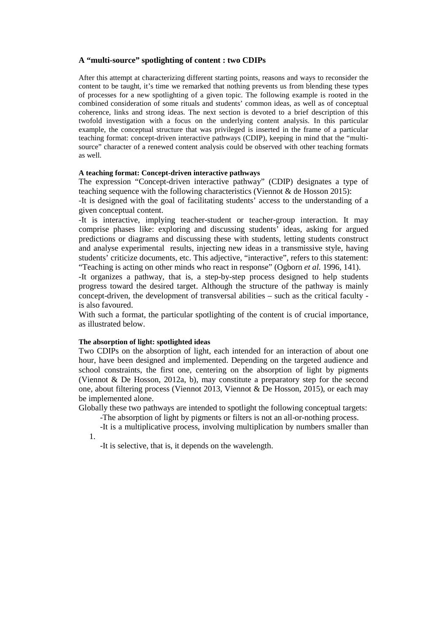# **A "multi-source" spotlighting of content : two CDIPs**

After this attempt at characterizing different starting points, reasons and ways to reconsider the content to be taught, it's time we remarked that nothing prevents us from blending these types of processes for a new spotlighting of a given topic. The following example is rooted in the combined consideration of some rituals and students' common ideas, as well as of conceptual coherence, links and strong ideas. The next section is devoted to a brief description of this twofold investigation with a focus on the underlying content analysis. In this particular example, the conceptual structure that was privileged is inserted in the frame of a particular teaching format: concept-driven interactive pathways (CDIP), keeping in mind that the "multisource" character of a renewed content analysis could be observed with other teaching formats as well.

# **A teaching format: Concept-driven interactive pathways**

The expression "Concept-driven interactive pathway" (CDIP) designates a type of teaching sequence with the following characteristics (Viennot & de Hosson 2015):

-It is designed with the goal of facilitating students' access to the understanding of a given conceptual content.

-It is interactive, implying teacher-student or teacher-group interaction. It may comprise phases like: exploring and discussing students' ideas, asking for argued predictions or diagrams and discussing these with students, letting students construct and analyse experimental results, injecting new ideas in a transmissive style, having students' criticize documents, etc. This adjective, "interactive", refers to this statement: "Teaching is acting on other minds who react in response" (Ogborn *et al.* 1996, 141).

-It organizes a pathway, that is, a step-by-step process designed to help students progress toward the desired target. Although the structure of the pathway is mainly concept-driven, the development of transversal abilities – such as the critical faculty is also favoured.

With such a format, the particular spotlighting of the content is of crucial importance, as illustrated below.

# **The absorption of light: spotlighted ideas**

1.

Two CDIPs on the absorption of light, each intended for an interaction of about one hour, have been designed and implemented. Depending on the targeted audience and school constraints, the first one, centering on the absorption of light by pigments (Viennot & De Hosson, 2012a, b), may constitute a preparatory step for the second one, about filtering process (Viennot 2013, Viennot & De Hosson, 2015), or each may be implemented alone.

Globally these two pathways are intended to spotlight the following conceptual targets:

-The absorption of light by pigments or filters is not an all-or-nothing process.

-It is a multiplicative process, involving multiplication by numbers smaller than

-It is selective, that is, it depends on the wavelength.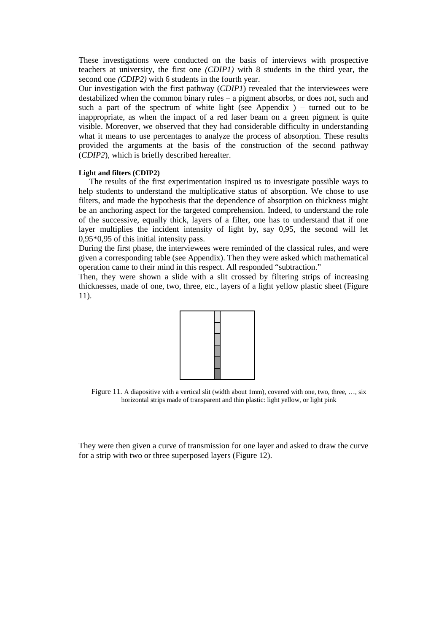These investigations were conducted on the basis of interviews with prospective teachers at university, the first one *(CDIP1)* with 8 students in the third year, the second one *(CDIP2)* with 6 students in the fourth year.

Our investigation with the first pathway (*CDIP1*) revealed that the interviewees were destabilized when the common binary rules – a pigment absorbs, or does not, such and such a part of the spectrum of white light (see Appendix ) – turned out to be inappropriate, as when the impact of a red laser beam on a green pigment is quite visible. Moreover, we observed that they had considerable difficulty in understanding what it means to use percentages to analyze the process of absorption. These results provided the arguments at the basis of the construction of the second pathway (*CDIP2*), which is briefly described hereafter.

# **Light and filters (CDIP2)**

The results of the first experimentation inspired us to investigate possible ways to help students to understand the multiplicative status of absorption. We chose to use filters, and made the hypothesis that the dependence of absorption on thickness might be an anchoring aspect for the targeted comprehension. Indeed, to understand the role of the successive, equally thick, layers of a filter, one has to understand that if one layer multiplies the incident intensity of light by, say 0,95, the second will let 0,95\*0,95 of this initial intensity pass.

During the first phase, the interviewees were reminded of the classical rules, and were given a corresponding table (see Appendix). Then they were asked which mathematical operation came to their mind in this respect. All responded "subtraction."

Then, they were shown a slide with a slit crossed by filtering strips of increasing thicknesses, made of one, two, three, etc., layers of a light yellow plastic sheet (Figure 11).



Figure 11. A diapositive with a vertical slit (width about 1mm), covered with one, two, three, …, six horizontal strips made of transparent and thin plastic: light yellow, or light pink

They were then given a curve of transmission for one layer and asked to draw the curve for a strip with two or three superposed layers (Figure 12).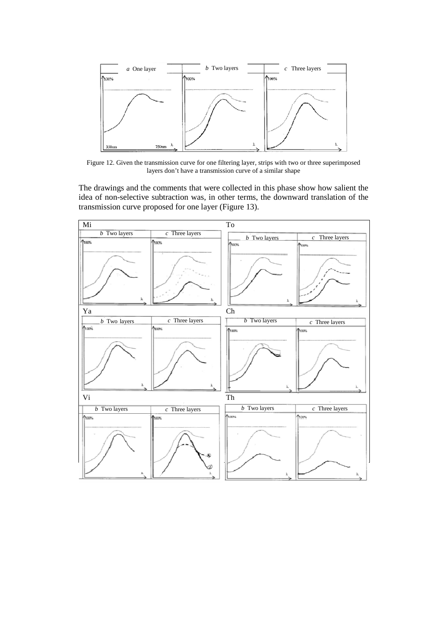

Figure 12. Given the transmission curve for one filtering layer, strips with two or three superimposed layers don't have a transmission curve of a similar shape

The drawings and the comments that were collected in this phase show how salient the idea of non-selective subtraction was, in other terms, the downward translation of the transmission curve proposed for one layer (Figure 13).

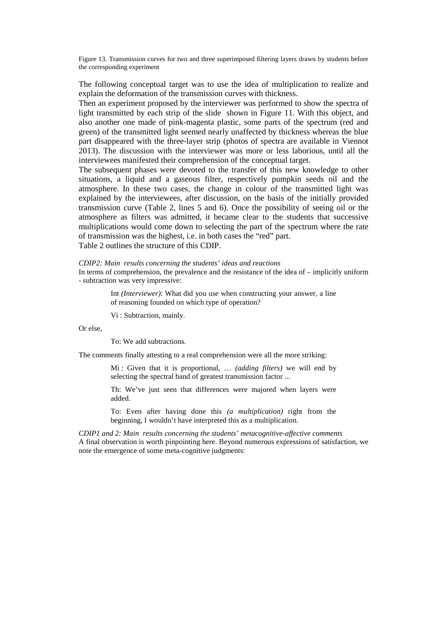Figure 13. Transmission curves for two and three superimposed filtering layers drawn by students before the corresponding experiment

The following conceptual target was to use the idea of multiplication to realize and explain the deformation of the transmission curves with thickness.

Then an experiment proposed by the interviewer was performed to show the spectra of light transmitted by each strip of the slide shown in Figure 11. With this object, and also another one made of pink-magenta plastic, some parts of the spectrum (red and green) of the transmitted light seemed nearly unaffected by thickness whereas the blue part disappeared with the three-layer strip (photos of spectra are available in Viennot 2013). The discussion with the interviewer was more or less laborious, until all the interviewees manifested their comprehension of the conceptual target.

The subsequent phases were devoted to the transfer of this new knowledge to other situations, a liquid and a gaseous filter, respectively pumpkin seeds oil and the atmosphere. In these two cases, the change in colour of the transmitted light was explained by the interviewees, after discussion, on the basis of the initially provided transmission curve (Table 2, lines 5 and 6). Once the possibility of seeing oil or the atmosphere as filters was admitted, it became clear to the students that successive multiplications would come down to selecting the part of the spectrum where the rate of transmission was the highest, i.e. in both cases the "red" part.

Table 2 outlines the structure of this CDIP.

### *CDIP2: Main results concerning the students' ideas and reactions*

In terms of comprehension, the prevalence and the resistance of the idea of – implicitly uniform - subtraction was very impressive:

> Int *(Interviewer)*: What did you use when constructing your answer, a line of reasoning founded on which type of operation?

Vi : Subtraction, mainly.

Or else,

To: We add subtractions.

The comments finally attesting to a real comprehension were all the more striking:

Mi : Given that it is proportional, … *(adding filters)* we will end by selecting the spectral band of greatest transmission factor ...

Th: We've just seen that differences were majored when layers were added.

To: Even after having done this *(a multiplication)* right from the beginning, I wouldn't have interpreted this as a multiplication.

*CDIP1 and 2: Main results concerning the students' metacognitive-affective comments*  A final observation is worth pinpointing here. Beyond numerous expressions of satisfaction, we note the emergence of some meta-cognitive judgments: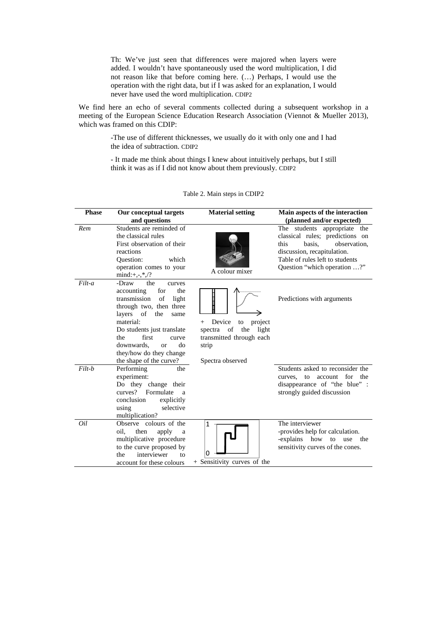Th: We've just seen that differences were majored when layers were added. I wouldn't have spontaneously used the word multiplication, I did not reason like that before coming here. (…) Perhaps, I would use the operation with the right data, but if I was asked for an explanation, I would never have used the word multiplication. CDIP2

We find here an echo of several comments collected during a subsequent workshop in a meeting of the European Science Education Research Association (Viennot & Mueller 2013), which was framed on this CDIP:

> -The use of different thicknesses, we usually do it with only one and I had the idea of subtraction. CDIP2

> - It made me think about things I knew about intuitively perhaps, but I still think it was as if I did not know about them previously. CDIP2

| <b>Phase</b> | Our conceptual targets                                                                                                                                                                                                                                                                    | <b>Material setting</b>                                                                                                  | Main aspects of the interaction                                                                                                                                                                     |  |  |
|--------------|-------------------------------------------------------------------------------------------------------------------------------------------------------------------------------------------------------------------------------------------------------------------------------------------|--------------------------------------------------------------------------------------------------------------------------|-----------------------------------------------------------------------------------------------------------------------------------------------------------------------------------------------------|--|--|
|              | and questions                                                                                                                                                                                                                                                                             |                                                                                                                          | (planned and/or expected)                                                                                                                                                                           |  |  |
| Rem          | Students are reminded of<br>the classical rules<br>First observation of their<br>reactions<br>Question:<br>which<br>operation comes to your<br>$mind:+, -, *, \frac{1}{2}, ?$                                                                                                             | A colour mixer                                                                                                           | The students appropriate the<br>classical rules; predictions on<br>observation,<br>this<br>basis.<br>discussion, recapitulation.<br>Table of rules left to students<br>Question "which operation ?" |  |  |
| $Filt-a$     | -Draw<br>the<br>curves<br>for<br>the<br>accounting<br>transmission<br>of<br>light<br>through two, then three<br>layers of the<br>same<br>material:<br>Do students just translate<br>the<br>first<br>curve<br>downwards,<br>do<br>or<br>they/how do they change<br>the shape of the curve? | Device<br>project<br>to<br>$^{+}$<br>the<br>spectra of<br>light<br>transmitted through each<br>strip<br>Spectra observed | Predictions with arguments                                                                                                                                                                          |  |  |
| Filt-b       | Performing<br>the<br>experiment:<br>Do they change their<br>curves? Formulate<br>a<br>conclusion<br>explicitly<br>selective<br>using<br>multiplication?                                                                                                                                   |                                                                                                                          | Students asked to reconsider the<br>curves, to account for the<br>disappearance of "the blue" :<br>strongly guided discussion                                                                       |  |  |
| Oil          | Observe colours of the<br>oil.<br>then<br>apply<br>a<br>multiplicative procedure<br>to the curve proposed by<br>interviewer<br>the<br>tο<br>account for these colours                                                                                                                     | $\mathbf{1}$<br>0<br>+ Sensitivity curves of the                                                                         | The interviewer<br>-provides help for calculation.<br>-explains how to use<br>the<br>sensitivity curves of the cones.                                                                               |  |  |

Table 2. Main steps in CDIP2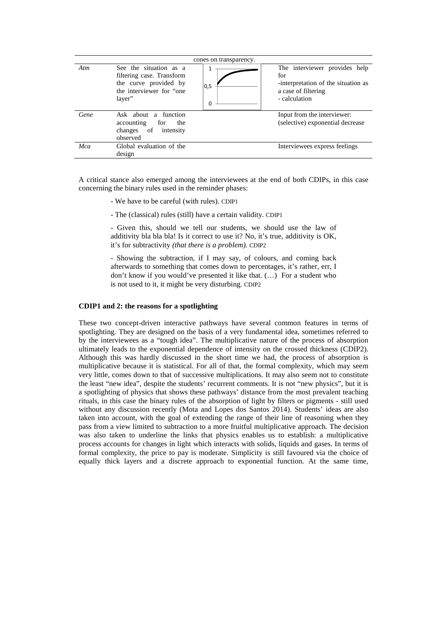|      |                                                                                                                    | cones on transparency. |                                                                                                                     |
|------|--------------------------------------------------------------------------------------------------------------------|------------------------|---------------------------------------------------------------------------------------------------------------------|
| Atm  | See the situation as a<br>filtering case. Transform<br>the curve provided by<br>the interviewer for "one<br>layer" | 1<br> 0,5<br>0         | The interviewer provides help<br>for<br>-interpretation of the situation as<br>a case of filtering<br>- calculation |
| Gene | Ask about a function<br>accounting<br>the<br>for<br>changes of<br>intensity<br>observed                            |                        | Input from the interviewer:<br>(selective) exponential decrease                                                     |
| Mca  | Global evaluation of the<br>design                                                                                 |                        | Interviewees express feelings                                                                                       |

A critical stance also emerged among the interviewees at the end of both CDIPs, in this case concerning the binary rules used in the reminder phases:

- We have to be careful (with rules). CDIP1
- The (classical) rules (still) have a certain validity. CDIP1

- Given this, should we tell our students, we should use the law of additivity bla bla bla! Is it correct to use it? No, it's true, additivity is OK, it's for subtractivity *(that there is a problem).* CDIP2

- Showing the subtraction, if I may say, of colours, and coming back afterwards to something that comes down to percentages, it's rather, err, I don't know if you would've presented it like that. (…) For a student who is not used to it, it might be very disturbing. CDIP2

#### **CDIP1 and 2: the reasons for a spotlighting**

These two concept-driven interactive pathways have several common features in terms of spotlighting. They are designed on the basis of a very fundamental idea, sometimes referred to by the interviewees as a "tough idea". The multiplicative nature of the process of absorption ultimately leads to the exponential dependence of intensity on the crossed thickness (CDIP2). Although this was hardly discussed in the short time we had, the process of absorption is multiplicative because it is statistical. For all of that, the formal complexity, which may seem very little, comes down to that of successive multiplications. It may also seem not to constitute the least "new idea", despite the students' recurrent comments. It is not "new physics", but it is a spotlighting of physics that shows these pathways' distance from the most prevalent teaching rituals, in this case the binary rules of the absorption of light by filters or pigments - still used without any discussion recently (Mota and Lopes dos Santos 2014). Students' ideas are also taken into account, with the goal of extending the range of their line of reasoning when they pass from a view limited to subtraction to a more fruitful multiplicative approach. The decision was also taken to underline the links that physics enables us to establish: a multiplicative process accounts for changes in light which interacts with solids, liquids and gases. In terms of formal complexity, the price to pay is moderate. Simplicity is still favoured via the choice of equally thick layers and a discrete approach to exponential function. At the same time,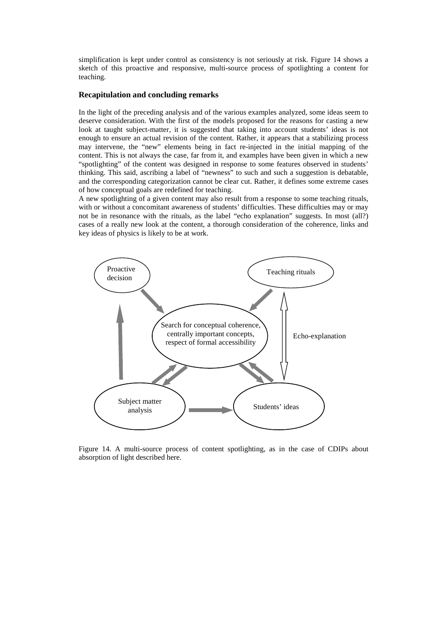simplification is kept under control as consistency is not seriously at risk. Figure 14 shows a sketch of this proactive and responsive, multi-source process of spotlighting a content for teaching.

### **Recapitulation and concluding remarks**

In the light of the preceding analysis and of the various examples analyzed, some ideas seem to deserve consideration. With the first of the models proposed for the reasons for casting a new look at taught subject-matter, it is suggested that taking into account students' ideas is not enough to ensure an actual revision of the content. Rather, it appears that a stabilizing process may intervene, the "new" elements being in fact re-injected in the initial mapping of the content. This is not always the case, far from it, and examples have been given in which a new "spotlighting" of the content was designed in response to some features observed in students' thinking. This said, ascribing a label of "newness" to such and such a suggestion is debatable, and the corresponding categorization cannot be clear cut. Rather, it defines some extreme cases of how conceptual goals are redefined for teaching.

A new spotlighting of a given content may also result from a response to some teaching rituals, with or without a concomitant awareness of students' difficulties. These difficulties may or may not be in resonance with the rituals, as the label "echo explanation" suggests. In most (all?) cases of a really new look at the content, a thorough consideration of the coherence, links and key ideas of physics is likely to be at work.



Figure 14. A multi-source process of content spotlighting, as in the case of CDIPs about absorption of light described here.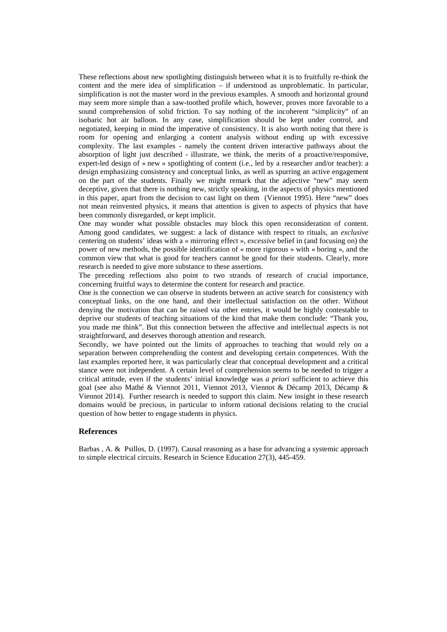These reflections about new spotlighting distinguish between what it is to fruitfully re-think the content and the mere idea of simplification – if understood as unproblematic. In particular, simplification is not the master word in the previous examples. A smooth and horizontal ground may seem more simple than a saw-toothed profile which, however, proves more favorable to a sound comprehension of solid friction. To say nothing of the incoherent "simplicity" of an isobaric hot air balloon. In any case, simplification should be kept under control, and negotiated, keeping in mind the imperative of consistency. It is also worth noting that there is room for opening and enlarging a content analysis without ending up with excessive complexity. The last examples - namely the content driven interactive pathways about the absorption of light just described - illustrate, we think, the merits of a proactive/responsive, expert-led design of « new » spotlighting of content (i.e., led by a researcher and/or teacher): a design emphasizing consistency and conceptual links, as well as spurring an active engagement on the part of the students. Finally we might remark that the adjective "new" may seem deceptive, given that there is nothing new, strictly speaking, in the aspects of physics mentioned in this paper, apart from the decision to cast light on them (Viennot 1995). Here "new" does not mean reinvented physics, it means that attention is given to aspects of physics that have been commonly disregarded, or kept implicit.

One may wonder what possible obstacles may block this open reconsideration of content. Among good candidates, we suggest: a lack of distance with respect to rituals, an *exclusive* centering on students' ideas with a « mirroring effect », *excessive* belief in (and focusing on) the power of new methods, the possible identification of « more rigorous » with « boring », and the common view that what is good for teachers cannot be good for their students. Clearly, more research is needed to give more substance to these assertions.

The preceding reflections also point to two strands of research of crucial importance, concerning fruitful ways to determine the content for research and practice.

One is the connection we can observe in students between an active search for consistency with conceptual links, on the one hand, and their intellectual satisfaction on the other. Without denying the motivation that can be raised via other entries, it would be highly contestable to deprive our students of teaching situations of the kind that make them conclude: "Thank you, you made me think". But this connection between the affective and intellectual aspects is not straightforward, and deserves thorough attention and research.

Secondly, we have pointed out the limits of approaches to teaching that would rely on a separation between comprehending the content and developing certain competences. With the last examples reported here, it was particularly clear that conceptual development and a critical stance were not independent. A certain level of comprehension seems to be needed to trigger a critical attitude, even if the students' initial knowledge was *a priori* sufficient to achieve this goal (see also Mathé & Viennot 2011, Viennot 2013, Viennot & Décamp 2013, Décamp & Viennot 2014). Further research is needed to support this claim. New insight in these research domains would be precious, in particular to inform rational decisions relating to the crucial question of how better to engage students in physics.

### **References**

Barbas , A. & Psillos, D. (1997). Causal reasoning as a base for advancing a systemic approach to simple electrical circuits. Research in Science Education 27(3), 445-459.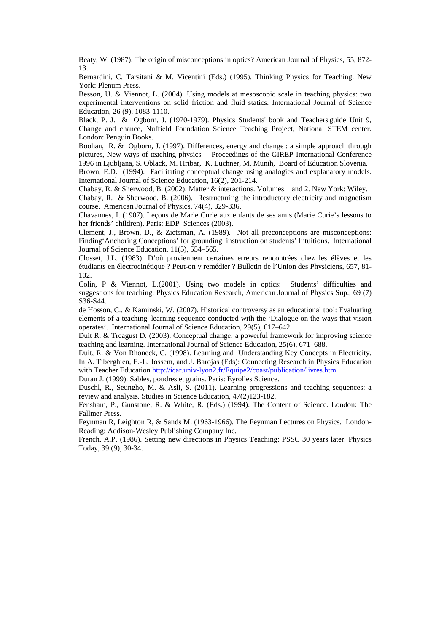Beaty, W. (1987). The origin of misconceptions in optics? American Journal of Physics, 55, 872- 13.

Bernardini, C. Tarsitani & M. Vicentini (Eds.) (1995). Thinking Physics for Teaching. New York: Plenum Press.

Besson, U. & Viennot, L. (2004). Using models at mesoscopic scale in teaching physics: two experimental interventions on solid friction and fluid statics. International Journal of Science Education, 26 (9), 1083-1110.

Black, P. J. & Ogborn, J. (1970-1979). Physics Students' book and Teachers'guide Unit 9, Change and chance, Nuffield Foundation Science Teaching Project, National STEM center. London: Penguin Books.

Boohan, R. & Ogborn, J. (1997). Differences, energy and change : a simple approach through pictures, New ways of teaching physics - Proceedings of the GIREP International Conference 1996 in Ljubljana, S. Oblack, M. Hribar, K. Luchner, M. Munih, Board of Education Slovenia.

Brown, E.D. (1994). Facilitating conceptual change using analogies and explanatory models. International Journal of Science Education, 16(2), 201-214.

Chabay, R. & Sherwood, B. (2002). Matter & interactions. Volumes 1 and 2. New York: Wiley.

Chabay, R. & Sherwood, B. (2006). Restructuring the introductory electricity and magnetism course. American Journal of Physics, 74(4), 329-336.

Chavannes, I. (1907). Leçons de Marie Curie aux enfants de ses amis (Marie Curie's lessons to her friends' children). Paris: EDP Sciences (2003).

Clement, J., Brown, D., & Zietsman, A. (1989). Not all preconceptions are misconceptions: Finding'Anchoring Conceptions' for grounding instruction on students' Intuitions. International Journal of Science Education, 11(5), 554–565.

Closset, J.L. (1983). D'où proviennent certaines erreurs rencontrées chez les élèves et les étudiants en électrocinétique ? Peut-on y remédier ? Bulletin de l'Union des Physiciens, 657, 81- 102.

Colin, P & Viennot, L.(2001). Using two models in optics: Students' difficulties and suggestions for teaching. Physics Education Research, American Journal of Physics Sup., 69 (7) S36-S44.

de Hosson, C., & Kaminski, W. (2007). Historical controversy as an educational tool: Evaluating elements of a teaching–learning sequence conducted with the 'Dialogue on the ways that vision operates'. International Journal of Science Education, 29(5), 617–642.

Duit R, & Treagust D. (2003). Conceptual change: a powerful framework for improving science teaching and learning. International Journal of Science Education, 25(6), 671–688.

Duit, R. & Von Rhöneck, C. (1998). Learning and Understanding Key Concepts in Electricity. In A. Tiberghien, E.-L. Jossem, and J. Barojas (Eds): Connecting Research in Physics Education with Teacher Education http://icar.univ-lyon2.fr/Equipe2/coast/publication/livres.htm

Duran J. (1999). Sables, poudres et grains. Paris: Eyrolles Science.

Duschl, R., Seungho, M. & Asli, S. (2011). Learning progressions and teaching sequences: a review and analysis. Studies in Science Education, 47(2)123-182.

Fensham, P., Gunstone, R. & White, R. (Eds.) (1994). The Content of Science. London: The Fallmer Press.

Feynman R, Leighton R, & Sands M. (1963-1966). The Feynman Lectures on Physics. London-Reading: Addison-Wesley Publishing Company Inc.

French, A.P. (1986). Setting new directions in Physics Teaching: PSSC 30 years later. Physics Today, 39 (9), 30-34.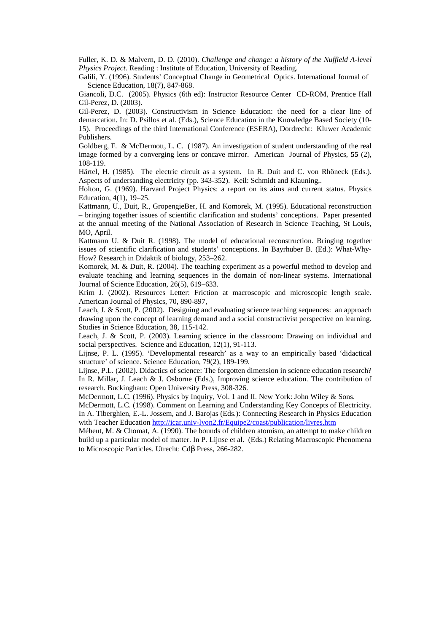Fuller, K. D. & Malvern, D. D. (2010). *Challenge and change: a history of the Nuffield A-level Physics Project.* Reading : Institute of Education, University of Reading.

Galili, Y. (1996). Students' Conceptual Change in Geometrical Optics. International Journal of Science Education, 18(7), 847-868.

Giancoli, D.C. (2005). Physics (6th ed): Instructor Resource Center CD-ROM, Prentice Hall Gil-Perez, D. (2003).

Gil-Perez, D. (2003). Constructivism in Science Education: the need for a clear line of demarcation. In: D. Psillos et al. (Eds.), Science Education in the Knowledge Based Society (10- 15). Proceedings of the third International Conference (ESERA), Dordrecht: Kluwer Academic Publishers.

Goldberg, F. & McDermott, L. C. (1987). An investigation of student understanding of the real image formed by a converging lens or concave mirror. American Journal of Physics, **55** (2), 108-119.

Härtel, H. (1985). The electric circuit as a system. In R. Duit and C. von Rhöneck (Eds.). Aspects of undersanding electricity (pp. 343-352). Keil: Schmidt and Klauning,.

Holton, G. (1969). Harvard Project Physics: a report on its aims and current status. Physics Education, 4(1), 19–25.

Kattmann, U., Duit, R., GropengieBer, H. and Komorek, M. (1995). Educational reconstruction – bringing together issues of scientific clarification and students' conceptions. Paper presented at the annual meeting of the National Association of Research in Science Teaching, St Louis, MO, April.

Kattmann U. & Duit R. (1998). The model of educational reconstruction. Bringing together issues of scientific clarification and students' conceptions. In Bayrhuber B. (Ed.): What-Why-How? Research in Didaktik of biology, 253–262.

Komorek, M. & Duit, R. (2004). The teaching experiment as a powerful method to develop and evaluate teaching and learning sequences in the domain of non‐linear systems. International Journal of Science Education, 26(5), 619–633.

Krim J. (2002). Resources Letter: Friction at macroscopic and microscopic length scale. American Journal of Physics, 70, 890-897,

Leach, J. & Scott, P. (2002). Designing and evaluating science teaching sequences: an approach drawing upon the concept of learning demand and a social constructivist perspective on learning. Studies in Science Education, 38, 115-142.

Leach, J. & Scott, P. (2003). Learning science in the classroom: Drawing on individual and social perspectives. Science and Education, 12(1), 91-113.

Lijnse, P. L. (1995). 'Developmental research' as a way to an empirically based 'didactical structure' of science. Science Education, 79(2), 189-199.

Lijnse, P.L. (2002). Didactics of science: The forgotten dimension in science education research? In R. Millar, J. Leach & J. Osborne (Eds.), Improving science education. The contribution of research. Buckingham: Open University Press, 308-326.

McDermott, L.C. (1996). Physics by Inquiry, Vol. 1 and II. New York: John Wiley & Sons.

McDermott, L.C. (1998). Comment on Learning and Understanding Key Concepts of Electricity. In A. Tiberghien, E.-L. Jossem, and J. Barojas (Eds.): Connecting Research in Physics Education with Teacher Education http://icar.univ-lyon2.fr/Equipe2/coast/publication/livres.htm

Méheut, M. & Chomat, A. (1990). The bounds of children atomism, an attempt to make children build up a particular model of matter. In P. Lijnse et al. (Eds.) Relating Macroscopic Phenomena to Microscopic Particles. Utrecht: Cdβ Press, 266-282.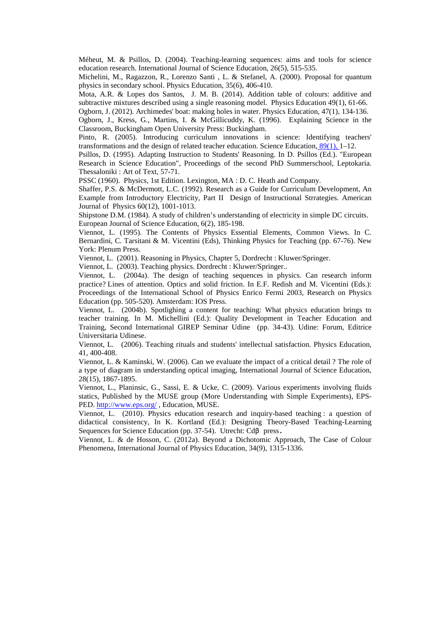Méheut, M. & Psillos, D. (2004). Teaching-learning sequences: aims and tools for science education research. International Journal of Science Education, 26(5), 515-535.

Michelini, M., Ragazzon, R., Lorenzo Santi , L. & Stefanel, A. (2000). Proposal for quantum physics in secondary school. Physics Education, 35(6), 406-410.

Mota, A.R. & Lopes dos Santos, J. M. B. (2014). Addition table of colours: additive and subtractive mixtures described using a single reasoning model. Physics Education 49(1), 61-66. Ogborn, J. (2012). Archimedes' boat: making holes in water. Physics Education, 47(1), 134-136.

Ogborn, J., Kress, G., Martins, I. & McGillicuddy, K. (1996). Explaining Science in the Classroom, Buckingham Open University Press: Buckingham.

Pinto, R. (2005). Introducing curriculum innovations in science: Identifying teachers' transformations and the design of related teacher education. Science Education,  $89(1)$ , 1–12.

Psillos, D. (1995). Adapting Instruction to Students' Reasoning. In D. Psillos (Ed.). "European Research in Science Education", Proceedings of the second PhD Summerschool, Leptokaria. Thessaloniki : Art of Text, 57-71.

PSSC (1960). Physics, 1st Edition. Lexington, MA : D. C. Heath and Company.

Shaffer, P.S. & McDermott, L.C. (1992). Research as a Guide for Curriculum Development, An Example from Introductory Electricity, Part II Design of Instructional Strrategies. American Journal of Physics 60(12), 1001-1013.

Shipstone D.M. (1984). A study of children's understanding of electricity in simple DC circuits. European Journal of Science Education, 6(2), 185-198.

Viennot, L. (1995). The Contents of Physics Essential Elements, Common Views. In C. Bernardini, C. Tarsitani & M. Vicentini (Eds), Thinking Physics for Teaching (pp. 67-76). New York: Plenum Press.

Viennot, L. (2001). Reasoning in Physics, Chapter 5, Dordrecht : Kluwer/Springer.

Viennot, L. (2003). Teaching physics. Dordrecht : Kluwer/Springer..

Viennot, L. (2004a). The design of teaching sequences in physics. Can research inform practice? Lines of attention. Optics and solid friction. In E.F. Redish and M. Vicentini (Eds.): Proceedings of the International School of Physics Enrico Fermi 2003, Research on Physics Education (pp. 505-520). Amsterdam: IOS Press.

Viennot, L. (2004b). Spotlighing a content for teaching: What physics education brings to teacher training. In M. Michellini (Ed.): Quality Development in Teacher Education and Training, Second International GIREP Seminar Udine (pp. 34-43). Udine: Forum, Editrice Universitaria Udinese.

Viennot, L. (2006). Teaching rituals and students' intellectual satisfaction. Physics Education, 41, 400-408.

Viennot, L. & Kaminski, W. (2006). Can we evaluate the impact of a critical detail ? The role of a type of diagram in understanding optical imaging, International Journal of Science Education, 28(15), 1867-1895.

Viennot, L., Planinsic, G., Sassi, E. & Ucke, C. (2009). Various experiments involving fluids statics, Published by the MUSE group (More Understanding with Simple Experiments), EPS-PED. http://www.eps.org/, Education, MUSE.

Viennot, L. (2010). Physics education research and inquiry-based teaching : a question of didactical consistency, In K. Kortland (Ed.): Designing Theory-Based Teaching-Learning Sequences for Science Education (pp. 37-54). Utrecht: Cdβ press.

Viennot, L. & de Hosson, C. (2012a). Beyond a Dichotomic Approach, The Case of Colour Phenomena, International Journal of Physics Education, 34(9), 1315-1336.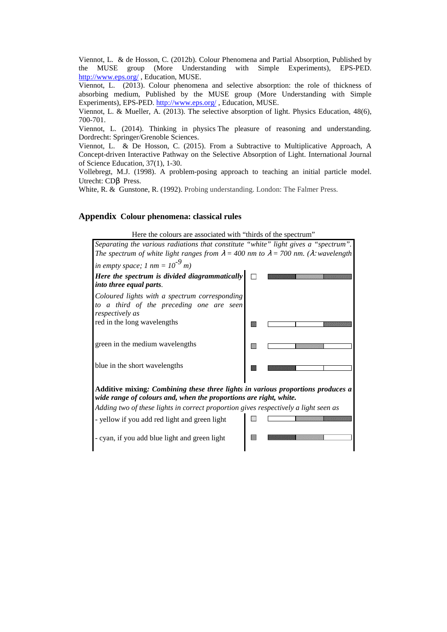Viennot, L. & de Hosson, C. (2012b). Colour Phenomena and Partial Absorption, Published by the MUSE group (More Understanding with Simple Experiments), EPS-PED. http://www.eps.org/ , Education, MUSE.

Viennot, L. (2013). Colour phenomena and selective absorption: the role of thickness of absorbing medium, Published by the MUSE group (More Understanding with Simple Experiments), EPS-PED. http://www.eps.org/ , Education, MUSE.

Viennot, L. & Mueller, A. (2013). The selective absorption of light. Physics Education, 48(6), 700-701.

Viennot, L. (2014). Thinking in physics The pleasure of reasoning and understanding. Dordrecht: Springer/Grenoble Sciences.

Viennot, L. & De Hosson, C. (2015). From a Subtractive to Multiplicative Approach, A Concept-driven Interactive Pathway on the Selective Absorption of Light. International Journal of Science Education, 37(1), 1-30.

Vollebregt, M.J. (1998). A problem-posing approach to teaching an initial particle model. Utrecht: CDβ Press.

White, R. & Gunstone, R. (1992). Probing understanding. London: The Falmer Press.

# **Appendix Colour phenomena: classical rules**

Here the colours are associated with "thirds of the spectrum" *Separating the various radiations that constitute "white" light gives a "spectrum". The spectrum of white light ranges from*  $\lambda = 400$  *nm to*  $\lambda = 700$  *nm.* ( $\lambda$ : *wavelength in empty space;* 1 nm =  $10^{-9}$  m) *Here the spectrum is divided diagrammatically*   $\Box$ *into three equal parts*. *Coloured lights with a spectrum corresponding to a third of the preceding one are seen respectively as*  red in the long wavelengths green in the medium wavelengths 网 blue in the short wavelengths **IM Additive mixing***: Combining these three lights in various proportions produces a wide range of colours and, when the proportions are right, white. Adding two of these lights in correct proportion gives respectively a light seen as* - yellow if you add red light and green light - cyan, if you add blue light and green light 要